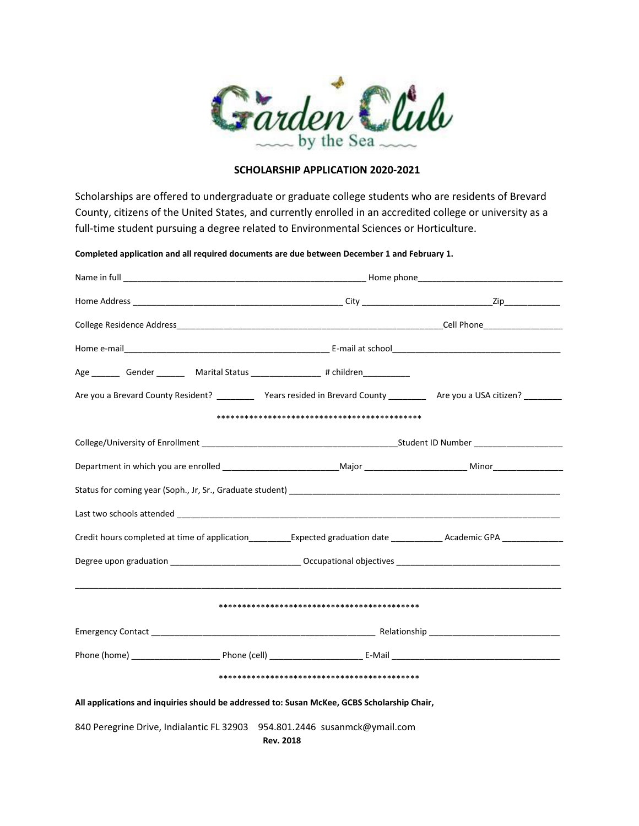

## **SCHOLARSHIP APPLICATION 2020-2021**

Scholarships are offered to undergraduate or graduate college students who are residents of Brevard County, citizens of the United States, and currently enrolled in an accredited college or university as a full-time student pursuing a degree related to Environmental Sciences or Horticulture.

**Completed application and all required documents are due between December 1 and February 1.**

| Age __________ Gender _____________ Marital Status ___________________# children_____________                                           |  |  |  |  |  |  |  |
|-----------------------------------------------------------------------------------------------------------------------------------------|--|--|--|--|--|--|--|
| Are you a Brevard County Resident? ____________ Years resided in Brevard County ______________ Are you a USA citizen? _________         |  |  |  |  |  |  |  |
|                                                                                                                                         |  |  |  |  |  |  |  |
|                                                                                                                                         |  |  |  |  |  |  |  |
|                                                                                                                                         |  |  |  |  |  |  |  |
|                                                                                                                                         |  |  |  |  |  |  |  |
|                                                                                                                                         |  |  |  |  |  |  |  |
| Credit hours completed at time of application___________Expected graduation date ____________Academic GPA _____________________________ |  |  |  |  |  |  |  |
| Degree upon graduation _______________________________Occupational objectives ________________________________                          |  |  |  |  |  |  |  |
|                                                                                                                                         |  |  |  |  |  |  |  |
|                                                                                                                                         |  |  |  |  |  |  |  |
|                                                                                                                                         |  |  |  |  |  |  |  |
|                                                                                                                                         |  |  |  |  |  |  |  |
|                                                                                                                                         |  |  |  |  |  |  |  |
| All applications and inquiries should be addressed to: Susan McKee, GCBS Scholarship Chair,                                             |  |  |  |  |  |  |  |
| 840 Peregrine Drive, Indialantic FL 32903 954.801.2446 susanmck@ymail.com<br><b>Rev. 2018</b>                                           |  |  |  |  |  |  |  |